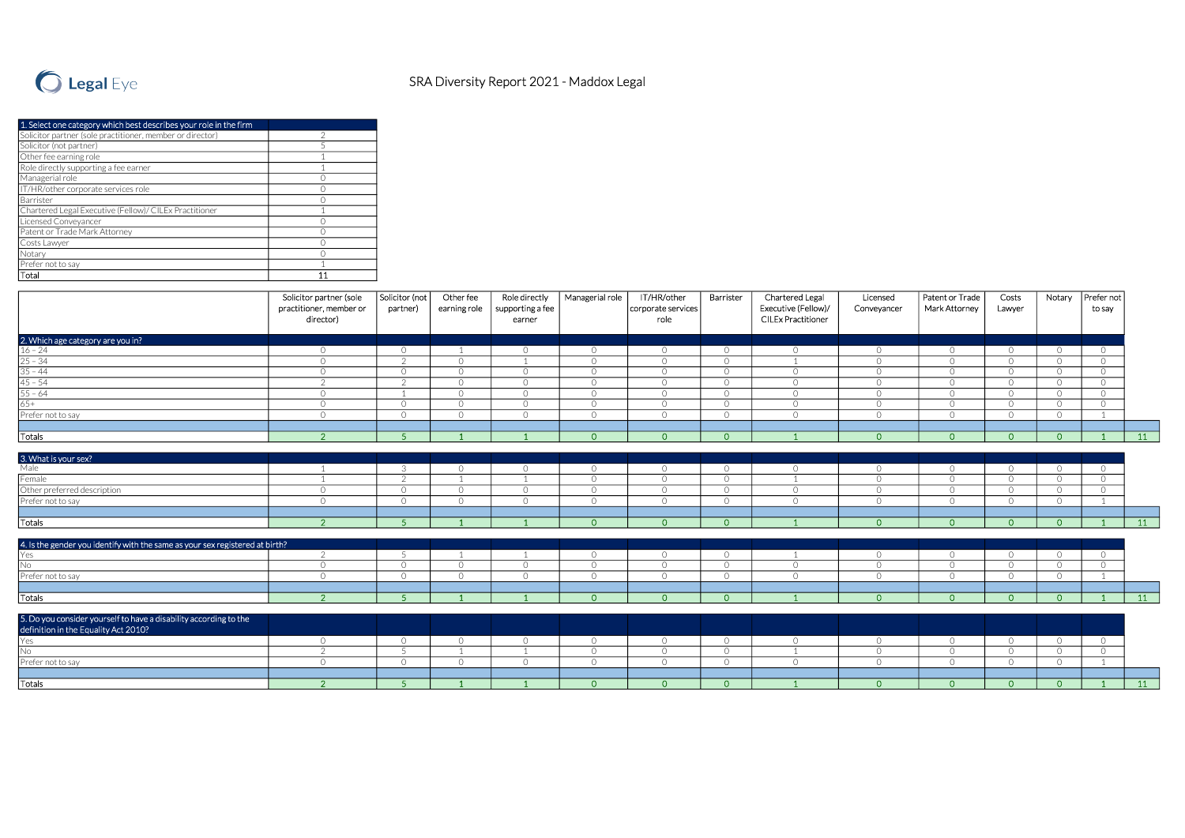

| 1. Select one category which best describes your role in the firm |  |
|-------------------------------------------------------------------|--|
| Solicitor partner (sole practitioner, member or director)         |  |
| Solicitor (not partner)                                           |  |
| Other fee earning role                                            |  |
| Role directly supporting a fee earner                             |  |
| Managerial role                                                   |  |
| IT/HR/other corporate services role                               |  |
| Barrister                                                         |  |
| Chartered Legal Executive (Fellow)/ CILEx Practitioner            |  |
| Licensed Conveyancer                                              |  |
| Patent or Trade Mark Attorney                                     |  |
| Costs Lawyer                                                      |  |
| Notary                                                            |  |
| Prefer not to say                                                 |  |
| Total                                                             |  |

|                                                                              | Solicitor partner (sole<br>practitioner, member or<br>director) | Solicitor (not<br>partner) | Other fee<br>earning role | Role directly<br>supporting a fee<br>earner | Managerial role            | IT/HR/other<br>corporate services<br>role | Barrister          | Chartered Legal<br>Executive (Fellow)/<br><b>CILEx Practitioner</b> | Licensed<br>Conveyancer   | Patent or Trade<br>Mark Attorney | Costs<br>Lawyer     | Notary              | Prefer not<br>to say  |              |
|------------------------------------------------------------------------------|-----------------------------------------------------------------|----------------------------|---------------------------|---------------------------------------------|----------------------------|-------------------------------------------|--------------------|---------------------------------------------------------------------|---------------------------|----------------------------------|---------------------|---------------------|-----------------------|--------------|
| 2. Which age category are you in?                                            |                                                                 |                            |                           |                                             |                            |                                           |                    |                                                                     |                           |                                  |                     |                     |                       |              |
| $16 - 24$                                                                    | $\circ$                                                         | $\circ$                    |                           | $\circ$                                     | $\circ$                    | $\circ$                                   | $\circ$            | $\circ$                                                             | $\circ$                   | $\circ$                          | $\circ$             | $\circ$             | $\overline{O}$        |              |
| $25 - 34$                                                                    | $\circ$                                                         | $\overline{2}$             | $\bigcirc$                | $\overline{1}$                              | $\overline{O}$             | $\circ$                                   | $\circ$            |                                                                     | $\overline{O}$            | $\circ$                          | $\overline{O}$      | $\circ$             | $\circ$               |              |
| $35 - 44$                                                                    | $\bigcirc$                                                      | $\bigcap$                  | $\bigcap$                 | $\circ$                                     | $\bigcirc$                 | $\circ$                                   | $\circ$            | $\Omega$                                                            | $\circ$                   | $\Omega$                         | $\Omega$            | $\Omega$            | $\bigcap$             |              |
| $45 - 54$                                                                    | $\mathcal{P}$                                                   | $\bigcap$                  | $\bigcirc$                | $\circ$                                     | $\circ$                    | $\circ$                                   | $\circ$            | $\circ$                                                             | $\circ$                   | $\circ$                          | $\overline{O}$      | $\circ$             | $\bigcirc$            |              |
| $55 - 64$                                                                    | $\circ$                                                         |                            | $\bigcap$                 | $\overline{O}$                              | $\bigcirc$                 | $\circ$                                   | $\circ$            | $\circ$                                                             | $\circ$                   | $\bigcirc$                       | $\Omega$            | $\Omega$            | $\bigcirc$            |              |
| $65+$                                                                        | $\circ$                                                         | $\overline{O}$             | $\bigcirc$                | $\circ$                                     | $\circ$                    | $\circ$                                   | $\circ$            | $\circ$                                                             | $\overline{O}$            | $\circ$                          | $\overline{O}$      | $\circ$             | $\bigcirc$            |              |
| Prefer not to say                                                            | $\bigcirc$                                                      | $\bigcap$                  | $\bigcap$                 | $\bigcirc$                                  | $\bigcirc$                 | $\circ$                                   | $\bigcirc$         | $\bigcirc$                                                          | $\bigcirc$                | $\bigcap$                        | $\bigcap$           | $\Omega$            |                       |              |
| Totals                                                                       | $\overline{2}$                                                  | $\sqrt{2}$                 |                           |                                             | $\Omega$                   | $\Omega$                                  | $\overline{0}$     |                                                                     | $\Omega$                  | $\Omega$                         | $\Omega$            | $\Omega$            |                       | 11           |
|                                                                              |                                                                 |                            |                           |                                             |                            |                                           |                    |                                                                     |                           |                                  |                     |                     |                       |              |
| 3. What is your sex?                                                         |                                                                 | 3                          | $\Omega$                  | $\circ$                                     | $\circ$                    | $\circ$                                   | $\circ$            | $\circ$                                                             | $\circ$                   | $\circ$                          | $\circ$             | $\circ$             | $\Omega$              |              |
| Female                                                                       |                                                                 | $\mathcal{D}$              |                           | $\overline{1}$                              | $\circ$                    | $\overline{0}$                            | $\circ$            |                                                                     | $\circ$                   | $\circ$                          | $\overline{O}$      | $\circ$             | $\Omega$              |              |
| Other preferred description                                                  | $\circ$                                                         | $\circ$                    | $\Omega$                  | $\circ$                                     | $\circ$                    | $\circ$                                   | $\overline{O}$     | $\circ$                                                             | $\overline{O}$            | $\circ$                          | $\overline{O}$      | $\circ$             | $\bigcirc$            |              |
| Prefer not to say                                                            | $\Omega$                                                        | $\bigcirc$                 | $\bigcap$                 | $\circ$                                     | $\circ$                    | $\circ$                                   | $\circ$            | $\circ$                                                             | $\circ$                   | $\circ$                          | $\overline{O}$      | $\circ$             |                       |              |
|                                                                              |                                                                 |                            |                           |                                             |                            |                                           |                    |                                                                     |                           |                                  |                     |                     |                       |              |
| Totals                                                                       | $\overline{2}$                                                  | -5                         |                           |                                             | $\Omega$                   | $\Omega$                                  | $\Omega$           |                                                                     | $\overline{0}$            | $\Omega$                         | $\Omega$            | $\Omega$            |                       | 11           |
| 4. Is the gender you identify with the same as your sex registered at birth? |                                                                 |                            |                           |                                             |                            |                                           |                    |                                                                     |                           |                                  |                     |                     |                       |              |
| Yes                                                                          | 2                                                               |                            |                           |                                             | $\overline{O}$             | $\circ$                                   | $\circ$            |                                                                     | $\circ$                   | $\bigcirc$                       | $\circ$             | $\bigcirc$          | $\Omega$              |              |
| No                                                                           | $\circ$                                                         | $\bigcirc$                 | $\bigcirc$                | $\circ$                                     | $\circ$                    | $\circ$                                   | $\circ$            | $\circ$                                                             | $\circ$                   | $\Omega$                         | $\bigcirc$          | $\bigcirc$          | $\bigcirc$            |              |
| Prefer not to say                                                            | $\circ$                                                         | $\Omega$                   | $\bigcap$                 | $\circ$                                     | $\circ$                    | $\circ$                                   | $\circ$            | $\circ$                                                             | $\circ$                   | $\bigcirc$                       | $\circ$             | $\circ$             |                       |              |
|                                                                              |                                                                 |                            |                           |                                             |                            |                                           |                    |                                                                     |                           |                                  |                     |                     |                       |              |
| Totals                                                                       | 2 <sup>7</sup>                                                  | $-5$                       |                           |                                             | $\circ$                    | $\circ$                                   | $\overline{0}$     |                                                                     | $\circ$                   | $\circ$                          | $\overline{O}$      | $\overline{0}$      |                       | 11           |
| 5. Do you consider yourself to have a disability according to the            |                                                                 |                            |                           |                                             |                            |                                           |                    |                                                                     |                           |                                  |                     |                     |                       |              |
| definition in the Equality Act 2010?<br>Yes                                  |                                                                 |                            | $\bigcirc$                |                                             |                            |                                           |                    |                                                                     |                           |                                  |                     |                     |                       |              |
| INo.                                                                         | $\circ$<br>$\mathcal{L}$                                        | $\circ$                    |                           | $\circ$<br>$\overline{1}$                   | $\overline{O}$<br>$\Omega$ | $\circ$<br>$\circ$                        | $\circ$<br>$\circ$ | $\circ$                                                             | $\circ$<br>$\overline{O}$ | $\circ$<br>$\bigcirc$            | $\circ$<br>$\Omega$ | $\circ$<br>$\Omega$ | $\circ$<br>$\bigcirc$ |              |
| Prefer not to say                                                            | $\circ$                                                         | $\bigcirc$                 | $\bigcap$                 | $\circ$                                     | $\circ$                    | $\circ$                                   | $\circ$            | $\circ$                                                             | $\overline{O}$            | $\bigcirc$                       | $\circ$             | $\circ$             |                       |              |
|                                                                              |                                                                 |                            |                           |                                             |                            |                                           |                    |                                                                     |                           |                                  |                     |                     |                       |              |
| Totals                                                                       | $\overline{2}$                                                  | -5                         |                           |                                             | $\circ$                    | $\overline{0}$                            | $\overline{O}$     |                                                                     | $\overline{0}$            | $\Omega$                         | $\Omega$            | $\overline{0}$      |                       | $\boxed{11}$ |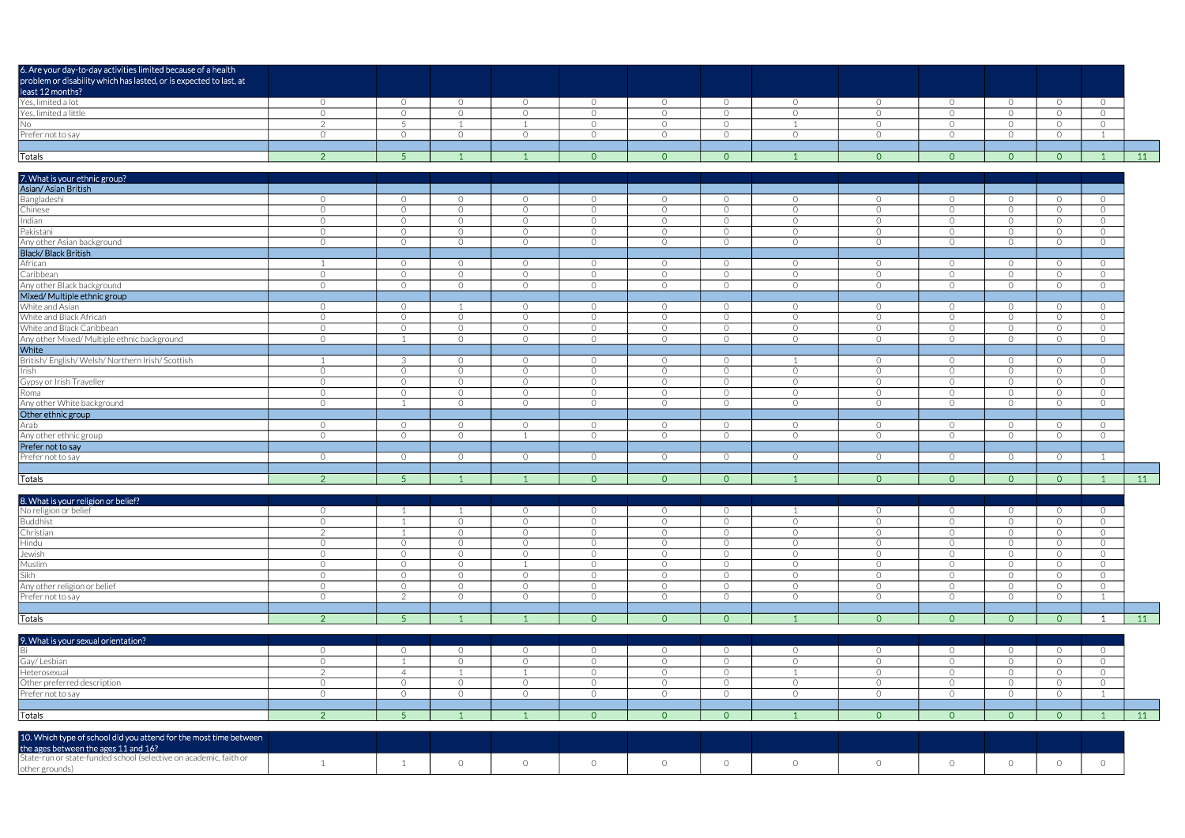| 6. Are your day-to-day activities limited because of a health                                                               |                |                |            |                |                |                |                |            |                |                |                |                |                |    |
|-----------------------------------------------------------------------------------------------------------------------------|----------------|----------------|------------|----------------|----------------|----------------|----------------|------------|----------------|----------------|----------------|----------------|----------------|----|
| problem or disability which has lasted, or is expected to last, at                                                          |                |                |            |                |                |                |                |            |                |                |                |                |                |    |
| least 12 months?<br>Yes, limited a lot                                                                                      |                |                |            |                |                |                |                |            |                |                |                |                |                |    |
|                                                                                                                             | $\overline{O}$ | $\overline{0}$ | $\circ$    | $\circ$        | $\overline{0}$ | $\circ$        | $\overline{0}$ | $\circ$    | $\circ$        | $\circ$        | $\circ$        | $\circ$        | $\overline{O}$ |    |
| Yes, limited a little                                                                                                       | $\circ$        | $\circ$        | $\Omega$   | $\Omega$       | $\Omega$       | $\overline{O}$ | $\circ$        | $\circ$    | $\circ$        | $\circ$        | $\overline{O}$ | $\overline{0}$ | $\overline{0}$ |    |
| $\overline{No}$                                                                                                             | $\mathcal{P}$  | -5             |            |                | $\Omega$       | $\overline{O}$ | $\circ$        |            | $\circ$        | $\circ$        | $\overline{O}$ | $\circ$        | $\circ$        |    |
| Prefer not to say                                                                                                           | $\circ$        | $\bigcirc$     | $\Omega$   | $\Omega$       | $\bigcirc$     | $\overline{O}$ | $\bigcirc$     | $\Omega$   | $\circ$        | $\circ$        | $\circ$        | $\circ$        | $\overline{1}$ |    |
|                                                                                                                             |                |                |            |                |                |                |                |            |                |                |                |                |                |    |
| Totals                                                                                                                      | 2 <sup>1</sup> | 5 <sup>1</sup> |            |                | $\overline{O}$ | $\overline{0}$ | $\overline{0}$ |            | $\overline{0}$ | $\overline{0}$ | $\overline{0}$ | $\overline{0}$ | - 1            | 11 |
|                                                                                                                             |                |                |            |                |                |                |                |            |                |                |                |                |                |    |
| 7. What is your ethnic group?                                                                                               |                |                |            |                |                |                |                |            |                |                |                |                |                |    |
| Asian/Asian British                                                                                                         |                |                |            |                |                |                |                |            |                |                |                |                |                |    |
|                                                                                                                             | $\circ$        | $\circ$        | $\circ$    | $\circ$        | $\overline{O}$ | $\circ$        | $\circ$        | $\circ$    | $\circ$        | $\circ$        | $\circ$        | $\circ$        | $\circ$        |    |
| Bangladeshi<br>Chinese                                                                                                      | $\circ$        | $\circ$        | $\Omega$   | $\Omega$       | $\Omega$       | $\overline{O}$ | $\circ$        | $\circ$    | $\circ$        | $\circ$        | $\overline{O}$ | $\circ$        | $\overline{O}$ |    |
| Indian                                                                                                                      | $\circ$        | $\circ$        | $\Omega$   | $\circ$        | $\Omega$       | $\circ$        | $\circ$        | $\circ$    | $\circ$        | $\circ$        | $\overline{O}$ | $\circ$        | $\overline{O}$ |    |
| Pakistani                                                                                                                   | $\circ$        | $\circ$        | $\Omega$   | $\circ$        | $\circ$        | $\overline{O}$ | $\circ$        | $\circ$    | $\circ$        | $\circ$        | $\overline{O}$ | $\circ$        | $\circ$        |    |
| Any other Asian background                                                                                                  | $\circ$        | $\circ$        | $\Omega$   | $\circ$        | $\bigcirc$     | $\circ$        | $\circ$        | $\circ$    | $\circ$        | $\circ$        | $\circ$        | $\circ$        | $\circ$        |    |
| Black/Black British                                                                                                         |                |                |            |                |                |                |                |            |                |                |                |                |                |    |
| African                                                                                                                     |                |                | $\circ$    | $\overline{O}$ | $\circ$        |                |                | $\circ$    |                | $\circ$        |                |                |                |    |
|                                                                                                                             |                | $\circ$        |            |                |                | $\circ$        | $\circ$        |            | $\overline{O}$ |                | $\circ$        | $\circ$        | $\overline{O}$ |    |
| Caribbean                                                                                                                   | $\circ$        | $\circ$        | $\Omega$   | $\circ$        | $\circ$        | $\overline{O}$ | $\circ$        | $\circ$    | $\circ$        | $\circ$        | $\circ$        | $\circ$        | $\overline{O}$ |    |
| Any other Black background                                                                                                  | $\circ$        | $\circ$        | $\circ$    | $\circ$        | $\circ$        | $\circ$        | $\circ$        | $\circ$    | $\circ$        | $\circ$        | $\circ$        | $\circ$        | $\circ$        |    |
| Mixed/ Multiple ethnic group                                                                                                |                |                |            |                |                |                |                |            |                |                |                |                |                |    |
| White and Asian                                                                                                             | $\circ$        | $\circ$        |            | $\circ$        | $\circ$        | $\circ$        | $\circ$        | $\circ$    | $\circ$        | $\circ$        | $\circ$        | $\circ$        | $\circ$        |    |
| White and Black African                                                                                                     | $\circ$        | $\circ$        | $\circ$    | $\circ$        | $\overline{O}$ | $\circ$        | $\circ$        | $\circ$    | $\circ$        | $\circ$        | $\overline{O}$ | $\circ$        | $\circ$        |    |
| White and Black Caribbean                                                                                                   | $\circ$        | $\circ$        | $\Omega$   | $\Omega$       | $\Omega$       | $\circ$        | $\circ$        | $\circ$    | $\circ$        | $\circ$        | $\overline{O}$ | $\circ$        | $\overline{O}$ |    |
| Any other Mixed/ Multiple ethnic background                                                                                 | $\circ$        |                | $\Omega$   | $\Omega$       | $\circ$        | $\circ$        | $\circ$        | $\bigcirc$ | $\circ$        | $\circ$        | $\circ$        | $\circ$        | $\circ$        |    |
| White                                                                                                                       |                |                |            |                |                |                |                |            |                |                |                |                |                |    |
| British/English/Welsh/Northern Irish/Scottish                                                                               |                | 3              | $\Omega$   | $\circ$        | $\circ$        | $\overline{O}$ | $\circ$        |            | $\circ$        | $\circ$        | $\circ$        | $\circ$        | $\circ$        |    |
|                                                                                                                             | $\circ$        | $\circ$        | $\Omega$   | $\circ$        | $\circ$        | $\circ$        | $\circ$        | $\circ$    | $\circ$        | $\circ$        | $\circ$        | $\circ$        | $\circ$        |    |
| Irish<br>Gypsy or Irish Traveller                                                                                           | $\circ$        | $\circ$        | $\Omega$   | $\circ$        | $\bigcirc$     | $\overline{O}$ | $\circ$        | $\circ$    | $\circ$        | $\circ$        | $\overline{O}$ | $\circ$        | $\circ$        |    |
| Roma                                                                                                                        | $\circ$        | $\circ$        | $\Omega$   | $\circ$        | $\circ$        | $\circ$        | $\circ$        | $\circ$    | $\circ$        | $\circ$        | $\circ$        | $\overline{0}$ | $\circ$        |    |
| Any other White background                                                                                                  | $\circ$        | $\overline{1}$ | $\Omega$   | $\Omega$       | $\bigcirc$     | $\bigcirc$     | $\bigcirc$     | $\bigcirc$ | $\circ$        | $\circ$        | $\overline{O}$ | $\circ$        | $\circ$        |    |
| Other ethnic group                                                                                                          |                |                |            |                |                |                |                |            |                |                |                |                |                |    |
|                                                                                                                             | $\circ$        | $\circ$        | $\circ$    | $\circ$        | $\overline{O}$ | $\circ$        | $\circ$        | $\circ$    | $\circ$        | $\circ$        | $\circ$        | $\circ$        | $\overline{O}$ |    |
| Arab<br>Any other ethnic group                                                                                              | $\circ$        | $\circ$        | $\Omega$   | $\overline{1}$ | $\bigcirc$     | $\circ$        | $\circ$        | $\circ$    | $\circ$        | $\Omega$       | $\circ$        | $\overline{O}$ | $\circ$        |    |
| Prefer not to say                                                                                                           |                |                |            |                |                |                |                |            |                |                |                |                |                |    |
| Prefer not to say                                                                                                           | $\circ$        | $\overline{0}$ | $\Omega$   | $\circ$        | $\circ$        | $\circ$        | $\circ$        | $\circ$    | $\circ$        | $\circ$        | $\circ$        | $\circ$        | $\overline{1}$ |    |
|                                                                                                                             |                |                |            |                |                |                |                |            |                |                |                |                |                |    |
| Totals                                                                                                                      | $\overline{2}$ | 5 <sup>1</sup> |            |                | $\overline{0}$ | $\overline{0}$ | $\overline{0}$ |            | $\overline{0}$ | $\Omega$       | $\overline{0}$ | $\overline{0}$ | - 1            | 11 |
|                                                                                                                             |                |                |            |                |                |                |                |            |                |                |                |                |                |    |
|                                                                                                                             |                |                |            |                |                |                |                |            |                |                |                |                |                |    |
| 8. What is your religion or belief?<br>No religion or belief                                                                | $\circ$        |                |            | $\circ$        | $\bigcirc$     | $\circ$        | $\circ$        |            | $\circ$        | $\circ$        | $\circ$        | $\circ$        | $\overline{0}$ |    |
| <b>Buddhist</b>                                                                                                             | $\circ$        | -1             | $\circ$    | $\circ$        | $\circ$        | $\circ$        | $\circ$        | $\circ$    | $\circ$        | $\circ$        | $\circ$        | $\circ$        | $\circ$        |    |
| Christian                                                                                                                   | $\mathcal{P}$  | $\overline{1}$ | $\bigcirc$ | $\circ$        | $\circ$        | $\circ$        | $\circ$        | $\circ$    | $\circ$        | $\circ$        | $\overline{O}$ | $\circ$        | $\circ$        |    |
| Hindu                                                                                                                       | $\circ$        | $\Omega$       | $\bigcirc$ | $\bigcirc$     | $\bigcirc$     | $\circ$        | $\circ$        | $\bigcirc$ | $\circ$        | $\circ$        | $\circ$        | $\overline{O}$ | $\circ$        |    |
|                                                                                                                             | $\circ$        | $\circ$        | $\circ$    | $\circ$        | $\circ$        | $\circ$        | $\circ$        | $\circ$    | $\circ$        | $\circ$        | $\circ$        | $\circ$        | $\circ$        |    |
| Jewish<br>Muslim                                                                                                            | $\circ$        | $\circ$        | $\circ$    | $\overline{1}$ | $\circ$        | $\circ$        | $\circ$        | $\circ$    | $\circ$        | $\circ$        | $\circ$        | $\circ$        | $\circ$        |    |
| Sikh                                                                                                                        | $\circ$        | $\circ$        | $\circ$    | $\circ$        | $\circ$        | $\circ$        | $\circ$        | $\circ$    | $\circ$        | $\circ$        | $\circ$        | $\circ$        | $\circ$        |    |
| Any other religion or belief                                                                                                | $\circ$        | $\circ$        | $\circ$    | $\circ$        | $\overline{O}$ | $\circ$        | $\circ$        | $\circ$    | $\circ$        | $\circ$        | $\circ$        | $\circ$        | $\circ$        |    |
|                                                                                                                             |                | $\mathcal{P}$  |            |                |                |                |                |            |                |                |                |                |                |    |
| Prefer not to say                                                                                                           | $\Omega$       |                | $\Omega$   | $\Omega$       | $\Omega$       | $\circ$        | $\Omega$       | $\bigcirc$ | $\circ$        | $\Omega$       | $\circ$        | $\overline{0}$ | $\overline{1}$ |    |
|                                                                                                                             |                |                |            |                |                |                |                |            |                |                |                |                |                |    |
| Totals                                                                                                                      |                | 5 <sup>5</sup> |            |                | $\overline{0}$ | $\overline{0}$ | $\overline{0}$ |            | $\circ$        | $\Omega$       | $\overline{0}$ | $\circ$        | $\overline{1}$ | 11 |
|                                                                                                                             | 2 <sup>2</sup> |                |            |                |                |                |                |            |                |                |                |                |                |    |
|                                                                                                                             |                |                |            |                |                |                |                |            |                |                |                |                |                |    |
| 9. What is your sexual orientation?                                                                                         |                |                |            |                |                |                |                |            |                |                |                |                |                |    |
| <b>Bi</b>                                                                                                                   | $\circ$        | $\circ$        | $\Omega$   | $\circ$        | $\Omega$       | $\overline{O}$ | $\circ$        | $\circ$    | $\circ$        | $\circ$        | $\circ$        | $\overline{0}$ | $\overline{O}$ |    |
| Gay/Lesbian                                                                                                                 | $\circ$        |                | $\circ$    | $\circ$        | $\circ$        | $\circ$        | $\circ$        | $\circ$    | $\circ$        | $\circ$        | $\circ$        | $\overline{0}$ | $\circ$        |    |
| Heterosexual                                                                                                                | $\overline{2}$ | $\overline{4}$ |            | $\overline{1}$ | $\circ$        | $\overline{O}$ | $\circ$        |            | $\circ$        | $\circ$        | $\circ$        | $\circ$        | $\circ$        |    |
| Other preferred description                                                                                                 | $\circ$        | $\circ$        | $\circ$    | $\circ$        | $\circ$        | $\circ$        | $\circ$        | $\circ$    | $\circ$        | $\circ$        | $\circ$        | $\circ$        | $\circ$        |    |
| Prefer not to say                                                                                                           | $\circ$        | $\circ$        | $\circ$    | $\circ$        | $\overline{O}$ | $\circ$        | $\circ$        | $\circ$    | $\circ$        | $\circ$        | $\circ$        | $\circ$        | $\overline{1}$ |    |
|                                                                                                                             |                |                |            |                |                |                |                |            |                |                |                |                |                |    |
| Totals                                                                                                                      | 2 <sup>1</sup> | $\overline{5}$ |            |                | $\overline{0}$ | $\overline{0}$ | $\overline{O}$ |            | $\overline{O}$ | $\overline{0}$ | $\circ$        | $\circ$        | $\mathbf{1}$   | 11 |
|                                                                                                                             |                |                |            |                |                |                |                |            |                |                |                |                |                |    |
| 10. Which type of school did you attend for the most time between                                                           |                |                |            |                |                |                |                |            |                |                |                |                |                |    |
|                                                                                                                             |                |                |            |                |                |                |                |            |                |                |                |                |                |    |
| the ages between the ages 11 and 16?<br>State-run or state-funded school (selective on academic, faith or<br>other grounds) | 1              | 1              | $\circ$    | $\circ$        | $\circ$        | $\circ$        | $\circ$        | $\circ$    | $\circ$        | $\circ$        | $\overline{O}$ | $\circ$        | $\overline{O}$ |    |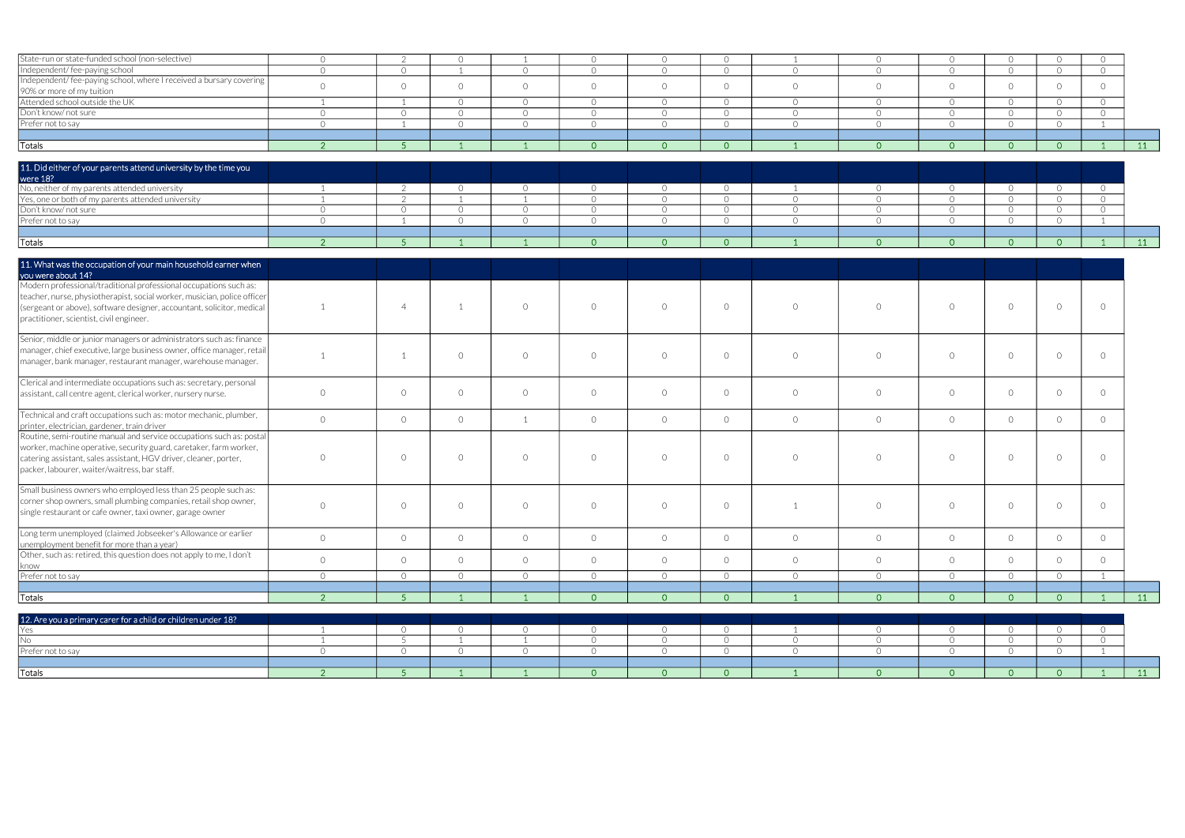| State-run or state-funded school (non-selective)                             | $\circ$        | $\mathcal{L}$   | $\circ$        |                           | $\circ$                          | $\circ$                   | $\circ$                          |                     | $\circ$            | $\circ$                   | $\circ$            | $\overline{O}$                   | $\circ$        |    |
|------------------------------------------------------------------------------|----------------|-----------------|----------------|---------------------------|----------------------------------|---------------------------|----------------------------------|---------------------|--------------------|---------------------------|--------------------|----------------------------------|----------------|----|
| Independent/fee-paying school                                                | $\overline{O}$ | $\circ$         |                | $\circ$                   | $\overline{O}$                   | $\circ$                   | $\overline{O}$                   | $\Omega$            | $\circ$            | $\circ$                   | $\circ$            | $\overline{O}$                   | $\overline{O}$ |    |
| Independent/fee-paying school, where I received a bursary covering           | $\bigcirc$     | $\overline{O}$  | $\Omega$       | $\circ$                   | $\overline{O}$                   | $\circ$                   | $\Omega$                         | $\Omega$            | $\circ$            | $\overline{O}$            | $\Omega$           | $\bigcirc$                       | $\Omega$       |    |
| 90% or more of my tuition                                                    |                |                 |                |                           |                                  |                           |                                  |                     |                    |                           |                    |                                  |                |    |
| Attended school outside the UK                                               | $\sim$         |                 | $\Omega$       | $\circ$                   | $\overline{O}$                   | $\overline{O}$            | $\bigcirc$                       | $\bigcap$           | $\circ$            | $\overline{O}$            | $\bigcirc$         | $\bigcirc$                       | $\bigcirc$     |    |
| Don't know/not sure                                                          | $\overline{O}$ | $\circ$         | $\circ$        | $\circ$                   | $\overline{O}$                   | $\circ$                   | $\circ$                          | $\circ$             | $\circ$            | $\overline{O}$            | $\circ$            | $\overline{O}$                   | $\overline{O}$ |    |
| Prefer not to say                                                            | $\Omega$       |                 | $\circ$        | $\circ$                   | $\overline{O}$                   | $\circ$                   | $\circ$                          | $\Omega$            | $\circ$            | $\overline{O}$            | $\circ$            | $\overline{O}$                   |                |    |
|                                                                              |                |                 |                |                           |                                  |                           |                                  |                     |                    |                           |                    |                                  |                |    |
| <b>Totals</b>                                                                | $\overline{2}$ | $\overline{5}$  |                |                           | $\Omega$                         | $\overline{0}$            | $\overline{0}$                   |                     | $\circ$            | $\overline{0}$            | $\overline{O}$     | $\overline{0}$                   |                | 11 |
| 11. Did either of your parents attend university by the time you<br>were 18? |                |                 |                |                           |                                  |                           |                                  |                     |                    |                           |                    |                                  |                |    |
| No, neither of my parents attended university                                |                | $\mathcal{L}$   | $\Omega$       | $\circ$                   | $\circ$                          | $\circ$                   | $\circ$                          |                     | $\overline{O}$     | $\overline{O}$            | $\circ$            | $\overline{0}$                   | $\circ$        |    |
| Yes, one or both of my parents attended university                           |                | $\mathcal{P}$   |                |                           | $\bigcirc$                       | $\overline{O}$            | $\circ$                          | $\Omega$            | $\circ$            | $\circ$                   | $\Omega$           | $\overline{O}$                   | $\bigcirc$     |    |
| Don't know/not sure                                                          | $\Omega$       | $\bigcirc$      | $\bigcirc$     | $\overline{O}$            | $\overline{O}$                   | $\overline{O}$            | $\circ$                          | $\bigcirc$          | $\circ$            | $\overline{O}$            | $\Omega$           | $\circ$                          | $\bigcirc$     |    |
| Prefer not to say                                                            | $\Omega$       | $\overline{1}$  | $\circ$        | $\circ$                   | $\overline{O}$                   | $\circ$                   | $\circ$                          | $\Omega$            | $\circ$            | $\overline{O}$            | $\circ$            | $\circ$                          |                |    |
|                                                                              |                |                 |                |                           |                                  |                           |                                  |                     |                    |                           |                    |                                  |                |    |
| <b>Totals</b>                                                                | <sup>2</sup>   | -5.             |                | $\overline{1}$            | $\Omega$                         | $\circ$                   | $\overline{0}$                   |                     | $\overline{0}$     | $\overline{0}$            | $\Omega$           | $\overline{0}$                   |                | 11 |
|                                                                              |                |                 |                |                           |                                  |                           |                                  |                     |                    |                           |                    |                                  |                |    |
| 11. What was the occupation of your main household earner when               |                |                 |                |                           |                                  |                           |                                  |                     |                    |                           |                    |                                  |                |    |
| you were about 14?                                                           |                |                 |                |                           |                                  |                           |                                  |                     |                    |                           |                    |                                  |                |    |
| Modern professional/traditional professional occupations such as:            |                |                 |                |                           |                                  |                           |                                  |                     |                    |                           |                    |                                  |                |    |
| teacher, nurse, physiotherapist, social worker, musician, police officer     |                |                 |                |                           |                                  |                           |                                  |                     |                    |                           |                    |                                  |                |    |
| (sergeant or above), software designer, accountant, solicitor, medical       |                | $\overline{4}$  |                | $\Omega$                  | $\overline{O}$                   | $\circ$                   | $\Omega$                         | $\bigcap$           | $\circ$            | $\circ$                   | $\circ$            | $\circ$                          | $\Omega$       |    |
| practitioner, scientist, civil engineer.                                     |                |                 |                |                           |                                  |                           |                                  |                     |                    |                           |                    |                                  |                |    |
| Senior, middle or junior managers or administrators such as: finance         |                |                 |                |                           |                                  |                           |                                  |                     |                    |                           |                    |                                  |                |    |
| manager, chief executive, large business owner, office manager, retai        |                |                 |                |                           |                                  |                           |                                  |                     |                    |                           |                    |                                  |                |    |
| manager, bank manager, restaurant manager, warehouse manager.                |                | $\overline{1}$  | $\bigcirc$     | $\circ$                   | $\overline{O}$                   | $\circ$                   | $\bigcap$                        | $\bigcap$           | $\circ$            | $\circ$                   | $\circ$            | $\circ$                          | $\Omega$       |    |
|                                                                              |                |                 |                |                           |                                  |                           |                                  |                     |                    |                           |                    |                                  |                |    |
| Clerical and intermediate occupations such as: secretary, personal           |                |                 |                |                           |                                  |                           |                                  |                     |                    |                           |                    |                                  |                |    |
| assistant, call centre agent, clerical worker, nursery nurse.                | $\Omega$       | $\circ$         | $\Omega$       | $\circ$                   | $\overline{O}$                   | $\circ$                   | $\Omega$                         | $\Omega$            | $\circ$            | $\circ$                   | $\overline{O}$     | $\overline{O}$                   | $\circ$        |    |
|                                                                              |                |                 |                |                           |                                  |                           |                                  |                     |                    |                           |                    |                                  |                |    |
| Technical and craft occupations such as: motor mechanic, plumber,            | $\overline{O}$ | $\circ$         | $\circ$        | 1                         | $\overline{O}$                   | $\overline{O}$            | $\circ$                          | $\circ$             | $\circ$            | $\circ$                   | $\overline{O}$     | $\circ$                          | $\circ$        |    |
| printer, electrician, gardener, train driver                                 |                |                 |                |                           |                                  |                           |                                  |                     |                    |                           |                    |                                  |                |    |
| Routine, semi-routine manual and service occupations such as: postal         |                |                 |                |                           |                                  |                           |                                  |                     |                    |                           |                    |                                  |                |    |
| worker, machine operative, security guard, caretaker, farm worker,           |                |                 |                |                           |                                  |                           |                                  |                     |                    |                           |                    |                                  |                |    |
| catering assistant, sales assistant, HGV driver, cleaner, porter,            | $\Omega$       | $\circ$         | $\Omega$       | $\circ$                   | $\overline{O}$                   | $\circ$                   | $\circ$                          | $\Omega$            | $\circ$            | $\circ$                   | $\overline{O}$     | $\circ$                          | $\circ$        |    |
| packer, labourer, waiter/waitress, bar staff.                                |                |                 |                |                           |                                  |                           |                                  |                     |                    |                           |                    |                                  |                |    |
| Small business owners who employed less than 25 people such as:              |                |                 |                |                           |                                  |                           |                                  |                     |                    |                           |                    |                                  |                |    |
| corner shop owners, small plumbing companies, retail shop owner,             |                |                 |                |                           |                                  |                           |                                  |                     |                    |                           |                    |                                  |                |    |
| single restaurant or cafe owner, taxi owner, garage owner                    | $\Omega$       | $\circ$         | $\bigcirc$     | $\circ$                   | $\circ$                          | $\circ$                   | $\circ$                          |                     | $\circ$            | $\overline{O}$            | $\overline{O}$     | $\circ$                          | $\circ$        |    |
|                                                                              |                |                 |                |                           |                                  |                           |                                  |                     |                    |                           |                    |                                  |                |    |
| Long term unemployed (claimed Jobseeker's Allowance or earlier               |                |                 |                |                           |                                  |                           |                                  |                     |                    |                           |                    |                                  |                |    |
| unemployment benefit for more than a year)                                   | $\circ$        | $\circ$         | $\circ$        | $\circ$                   | $\circlearrowright$              | $\circ$                   | $\circ$                          | $\circ$             | $\circ$            | $\circ$                   | $\circ$            | $\circ$                          | $\circ$        |    |
| Other, such as: retired, this question does not apply to me, I don't         |                |                 |                |                           |                                  |                           |                                  |                     |                    |                           |                    | $\circ$                          |                |    |
| know                                                                         | $\circ$        | $\circ$         | $\circ$        | $\circ$                   | $\overline{O}$                   | $\circ$                   | $\circ$                          | $\circ$             | $\circ$            | $\overline{O}$            | $\circ$            |                                  | $\circ$        |    |
| Prefer not to say                                                            | $\circ$        | $\circ$         | $\circ$        | $\circ$                   | $\circ$                          | $\overline{O}$            | $\circ$                          | $\circ$             | $\circ$            | $\circ$                   | $\circ$            | $\circ$                          |                |    |
|                                                                              |                |                 |                |                           |                                  |                           |                                  |                     |                    |                           |                    |                                  |                |    |
| <b>Totals</b>                                                                | 2 <sup>7</sup> | 5 <sup>1</sup>  | $\overline{1}$ | $\overline{1}$            | $\Omega$                         | $\overline{O}$            | $\overline{0}$                   |                     | $\circ$            | $\overline{0}$            | $\overline{O}$     | $\overline{0}$                   |                | 11 |
|                                                                              |                |                 |                |                           |                                  |                           |                                  |                     |                    |                           |                    |                                  |                |    |
| 12. Are you a primary carer for a child or children under 18?                |                |                 |                |                           |                                  |                           |                                  |                     |                    |                           |                    |                                  |                |    |
| Yes                                                                          |                | $\circ$         | $\circ$        | $\circ$<br>$\overline{1}$ | $\circ$                          | $\overline{O}$            | $\circ$                          |                     | $\overline{O}$     | $\overline{O}$            | $\circ$            | $\circ$                          | $\circ$        |    |
| <b>No</b><br>Prefer not to say                                               | $\bigcirc$     | 5<br>$\bigcirc$ | $\circ$        | $\circ$                   | $\overline{O}$<br>$\overline{O}$ | $\circ$<br>$\overline{O}$ | $\overline{O}$<br>$\overline{O}$ | $\circ$<br>$\Omega$ | $\circ$<br>$\circ$ | $\circ$<br>$\overline{O}$ | $\circ$<br>$\circ$ | $\overline{O}$<br>$\overline{O}$ | $\overline{O}$ |    |
|                                                                              |                |                 |                |                           |                                  |                           |                                  |                     |                    |                           |                    |                                  |                |    |
| <b>Totals</b>                                                                | $\overline{2}$ | $\sqrt{5}$      |                |                           | $\circ$                          | $\overline{0}$            | $\overline{0}$                   |                     | $\overline{0}$     | $\circ$                   | $\overline{O}$     | $\overline{0}$                   |                | 11 |
|                                                                              |                |                 |                |                           |                                  |                           |                                  |                     |                    |                           |                    |                                  |                |    |